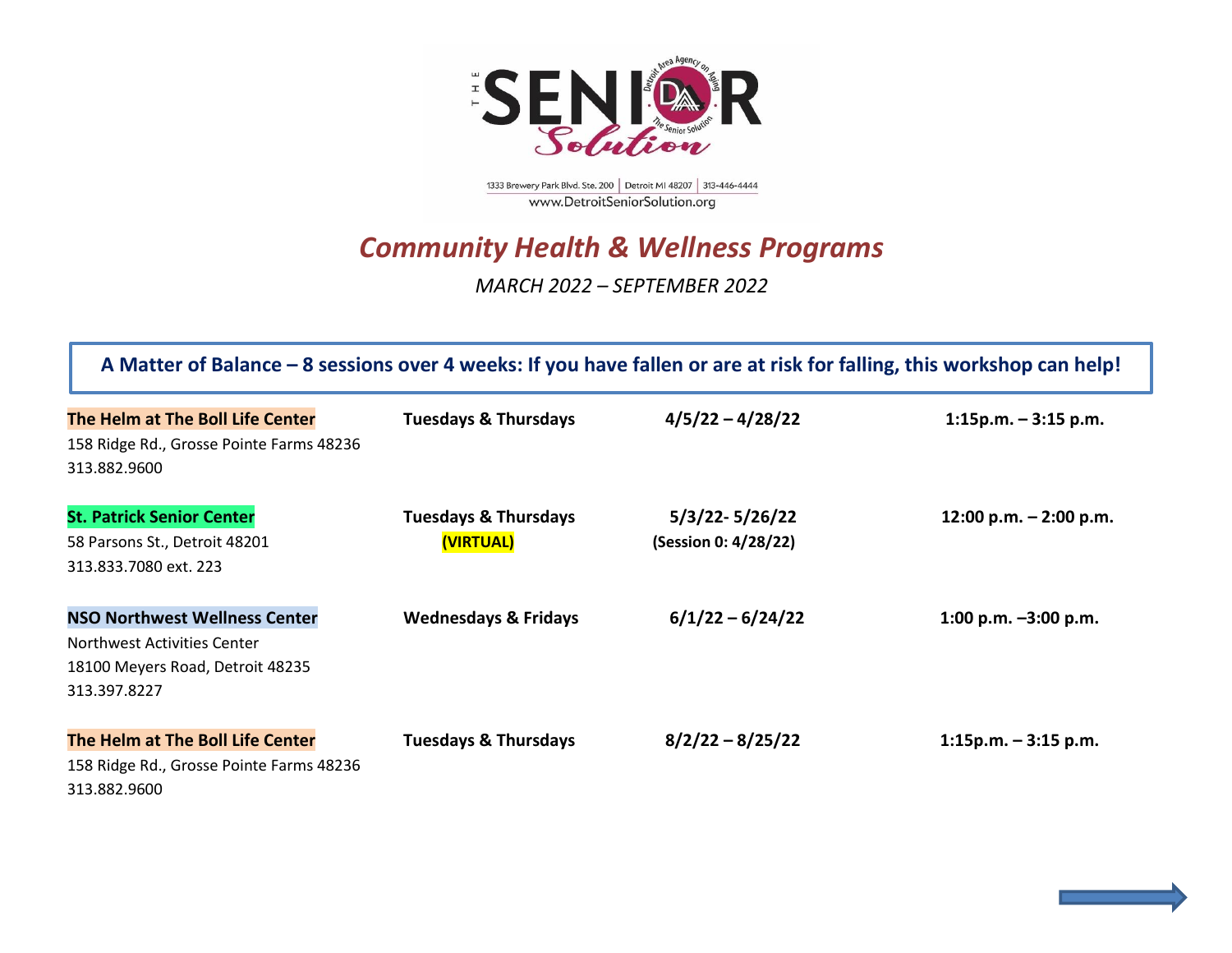

1333 Brewery Park Blvd. Ste. 200 | Detroit MI 48207 | 313-446-4444 www.DetroitSeniorSolution.org

## *Community Health & Wellness Programs*

*MARCH 2022 – SEPTEMBER 2022*

| A Matter of Balance – 8 sessions over 4 weeks: If you have fallen or are at risk for falling, this workshop can help!   |                                              |                                        |                          |  |
|-------------------------------------------------------------------------------------------------------------------------|----------------------------------------------|----------------------------------------|--------------------------|--|
| The Helm at The Boll Life Center<br>158 Ridge Rd., Grosse Pointe Farms 48236<br>313.882.9600                            | <b>Tuesdays &amp; Thursdays</b>              | $4/5/22 - 4/28/22$                     | $1:15p.m. - 3:15 p.m.$   |  |
| <b>St. Patrick Senior Center</b><br>58 Parsons St., Detroit 48201<br>313.833.7080 ext. 223                              | <b>Tuesdays &amp; Thursdays</b><br>(VIRTUAL) | 5/3/22-5/26/22<br>(Session 0: 4/28/22) | 12:00 p.m. $-$ 2:00 p.m. |  |
| <b>NSO Northwest Wellness Center</b><br>Northwest Activities Center<br>18100 Meyers Road, Detroit 48235<br>313.397.8227 | <b>Wednesdays &amp; Fridays</b>              | $6/1/22 - 6/24/22$                     | 1:00 p.m. $-3:00$ p.m.   |  |
| The Helm at The Boll Life Center<br>158 Ridge Rd., Grosse Pointe Farms 48236<br>313.882.9600                            | <b>Tuesdays &amp; Thursdays</b>              | $8/2/22 - 8/25/22$                     | $1:15p.m. - 3:15 p.m.$   |  |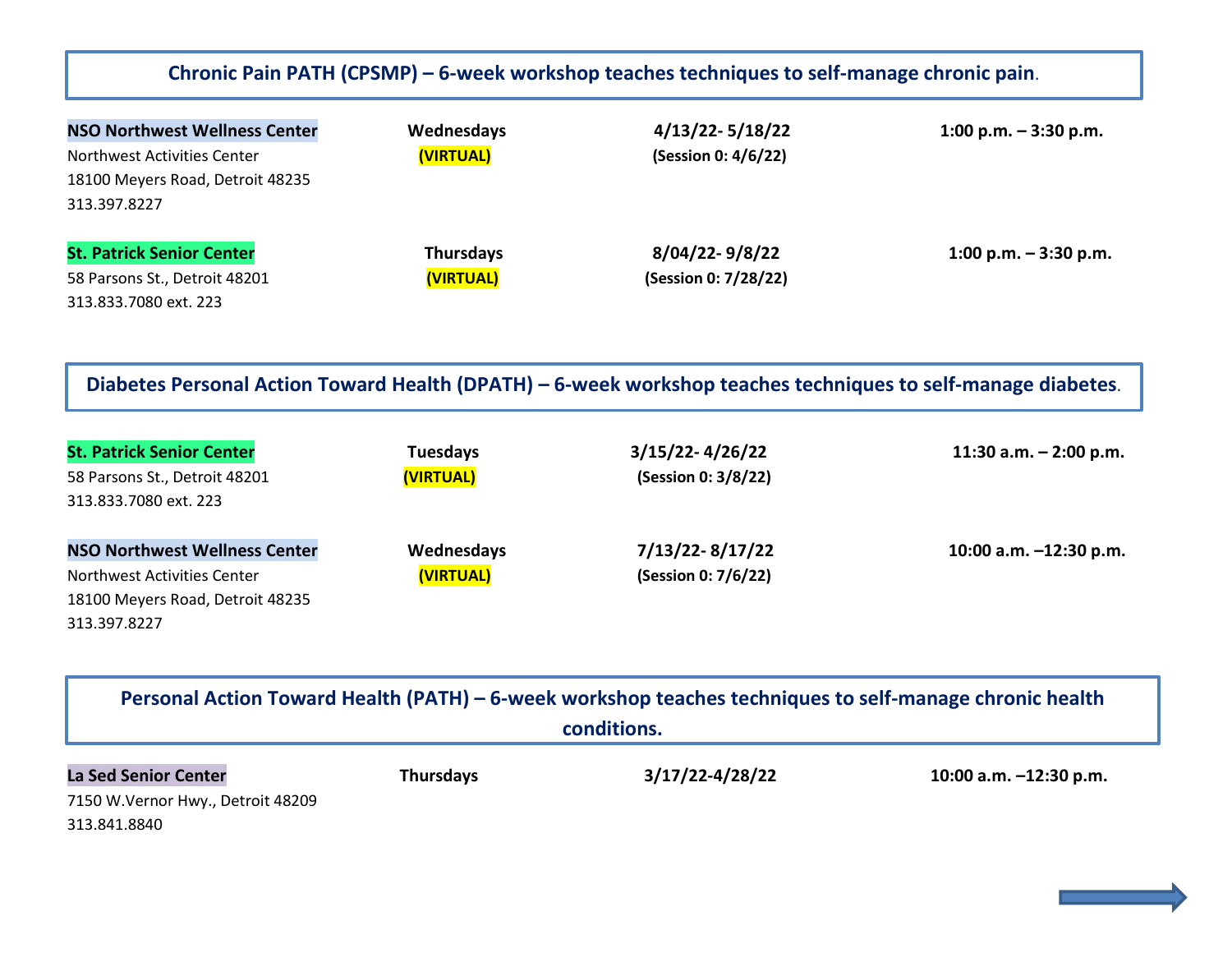## **Chronic Pain PATH (CPSMP) – 6-week workshop teaches techniques to self-manage chronic pain**.

| <b>NSO Northwest Wellness Center</b> | Wednesdays       | $4/13/22 - 5/18/22$  | 1:00 p.m. $-3:30$ p.m.  |
|--------------------------------------|------------------|----------------------|-------------------------|
| Northwest Activities Center          | (VIRTUAL)        | (Session 0: 4/6/22)  |                         |
| 18100 Meyers Road, Detroit 48235     |                  |                      |                         |
| 313.397.8227                         |                  |                      |                         |
| <b>St. Patrick Senior Center</b>     | <b>Thursdays</b> | 8/04/22-9/8/22       | 1:00 p.m. $-$ 3:30 p.m. |
| 58 Parsons St., Detroit 48201        | (VIRTUAL)        | (Session 0: 7/28/22) |                         |
| 313.833.7080 ext. 223                |                  |                      |                         |

**Diabetes Personal Action Toward Health (DPATH) – 6-week workshop teaches techniques to self-manage diabetes**.

| <b>St. Patrick Senior Center</b><br>58 Parsons St., Detroit 48201<br>313.833.7080 ext. 223 | <b>Tuesdays</b><br>(VIRTUAL) | $3/15/22 - 4/26/22$<br>(Session 0: 3/8/22) | 11:30 a.m. $-$ 2:00 p.m. |
|--------------------------------------------------------------------------------------------|------------------------------|--------------------------------------------|--------------------------|
| <b>NSO Northwest Wellness Center</b>                                                       | Wednesdays                   | 7/13/22-8/17/22                            | 10:00 a.m. $-12:30$ p.m. |
| Northwest Activities Center                                                                | (VIRTUAL)                    | (Session 0: 7/6/22)                        |                          |
| 18100 Meyers Road, Detroit 48235                                                           |                              |                                            |                          |
| 313.397.8227                                                                               |                              |                                            |                          |

| Personal Action Toward Health (PATH) – 6-week workshop teaches techniques to self-manage chronic health<br>conditions. |                  |                 |                        |
|------------------------------------------------------------------------------------------------------------------------|------------------|-----------------|------------------------|
| <b>La Sed Senior Center</b><br>7150 W. Vernor Hwy., Detroit 48209<br>313.841.8840                                      | <b>Thursdays</b> | 3/17/22-4/28/22 | 10:00 a.m. -12:30 p.m. |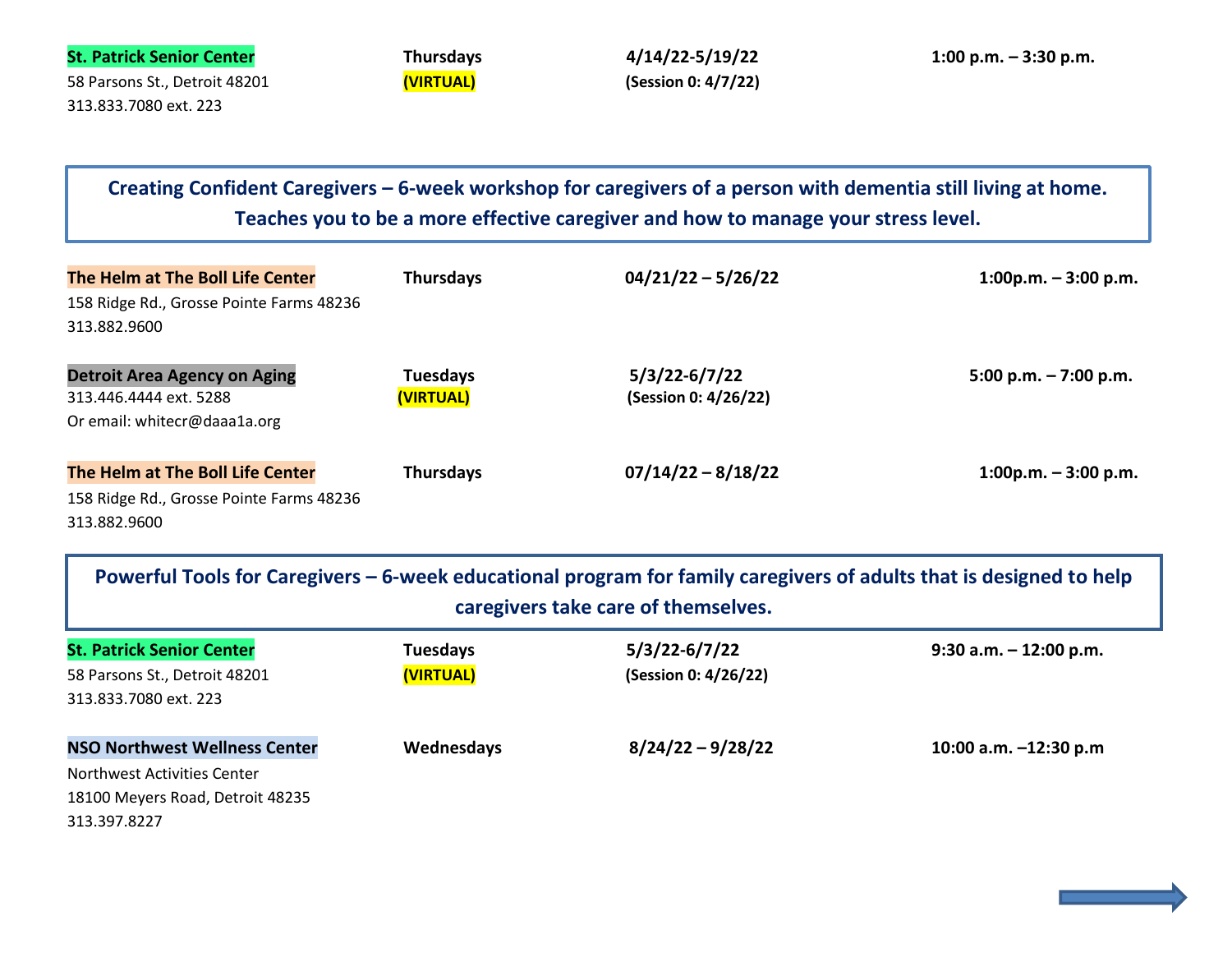| <b>St. Patrick Senior Center</b> | <b>Thursdays</b> | 4/14/22-5/19/22     | $1:00$ p.m. $-3:30$ p.m. |
|----------------------------------|------------------|---------------------|--------------------------|
| 58 Parsons St., Detroit 48201    | (VIRTUAL)        | (Session 0: 4/7/22) |                          |
| 313.833.7080 ext. 223            |                  |                     |                          |

**Teaches you to be a more effective caregiver and how to manage your stress level. Creating Confident Caregivers – 6-week workshop for caregivers of a person with dementia still living at home.** 

| The Helm at The Boll Life Center                         | <b>Thursdays</b> | $04/21/22 - 5/26/22$ | $1:00p.m. - 3:00 p.m.$ |
|----------------------------------------------------------|------------------|----------------------|------------------------|
| 158 Ridge Rd., Grosse Pointe Farms 48236<br>313.882.9600 |                  |                      |                        |
|                                                          |                  |                      |                        |
| <b>Detroit Area Agency on Aging</b>                      | <b>Tuesdays</b>  | $5/3/22 - 6/7/22$    | 5:00 p.m. $-7:00$ p.m. |
| 313.446.4444 ext. 5288                                   | (VIRTUAL)        | (Session 0: 4/26/22) |                        |
| Or email: whitecr@daaa1a.org                             |                  |                      |                        |
| The Helm at The Boll Life Center                         | <b>Thursdays</b> | $07/14/22 - 8/18/22$ | $1:00p.m. - 3:00 p.m.$ |
| 158 Ridge Rd., Grosse Pointe Farms 48236                 |                  |                      |                        |
| 313.882.9600                                             |                  |                      |                        |

| Powerful Tools for Caregivers – 6-week educational program for family caregivers of adults that is designed to help<br>caregivers take care of themselves. |                 |                      |                           |
|------------------------------------------------------------------------------------------------------------------------------------------------------------|-----------------|----------------------|---------------------------|
| <b>St. Patrick Senior Center</b>                                                                                                                           | <b>Tuesdays</b> | $5/3/22 - 6/7/22$    | $9:30$ a.m. $-12:00$ p.m. |
| 58 Parsons St., Detroit 48201                                                                                                                              | (VIRTUAL)       | (Session 0: 4/26/22) |                           |
| 313.833.7080 ext. 223                                                                                                                                      |                 |                      |                           |
| <b>NSO Northwest Wellness Center</b>                                                                                                                       | Wednesdays      | $8/24/22 - 9/28/22$  | 10:00 a.m. $-12:30$ p.m   |
| Northwest Activities Center                                                                                                                                |                 |                      |                           |
| 18100 Meyers Road, Detroit 48235                                                                                                                           |                 |                      |                           |
| 313.397.8227                                                                                                                                               |                 |                      |                           |